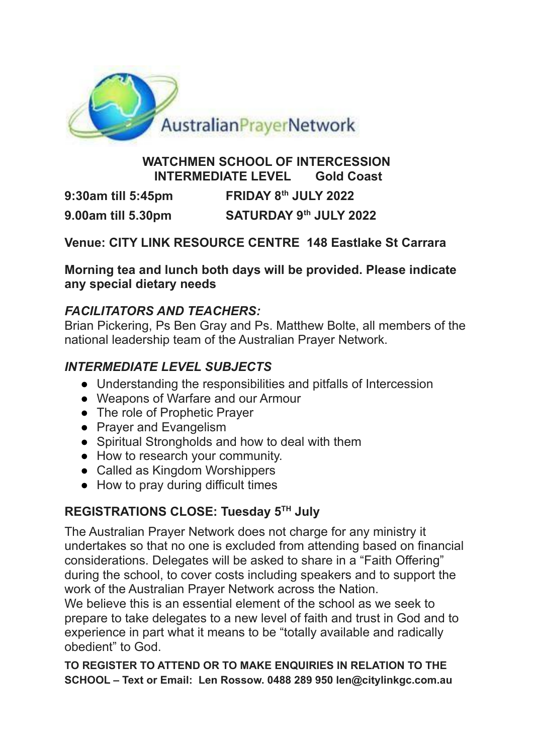

#### **WATCHMEN SCHOOL OF INTERCESSION INTERMEDIATE LEVEL Gold Coast**

**9:30am till 5:45pm FRIDAY**  $8^{th}$  **JULY** 2022 **9.00am till 5.30pm th JULY 2022**

**Venue: CITY LINK RESOURCE CENTRE 148 Eastlake St Carrara**

**Morning tea and lunch both days will be provided. Please indicate any special dietary needs**

## *FACILITATORS AND TEACHERS:*

Brian Pickering, Ps Ben Gray and Ps. Matthew Bolte, all members of the national leadership team of the Australian Prayer Network.

# *INTERMEDIATE LEVEL SUBJECTS*

- Understanding the responsibilities and pitfalls of Intercession
- Weapons of Warfare and our Armour
- The role of Prophetic Prayer
- Prayer and Evangelism
- Spiritual Strongholds and how to deal with them
- How to research your community.
- Called as Kingdom Worshippers
- How to pray during difficult times

# **REGISTRATIONS CLOSE: Tuesday 5 TH July**

The Australian Prayer Network does not charge for any ministry it undertakes so that no one is excluded from attending based on financial considerations. Delegates will be asked to share in a "Faith Offering" during the school, to cover costs including speakers and to support the work of the Australian Prayer Network across the Nation.

We believe this is an essential element of the school as we seek to prepare to take delegates to a new level of faith and trust in God and to experience in part what it means to be "totally available and radically obedient" to God.

**TO REGISTER TO ATTEND OR TO MAKE ENQUIRIES IN RELATION TO THE SCHOOL – Text or Email: Len Rossow. 0488 289 950 len@citylinkgc.com.au**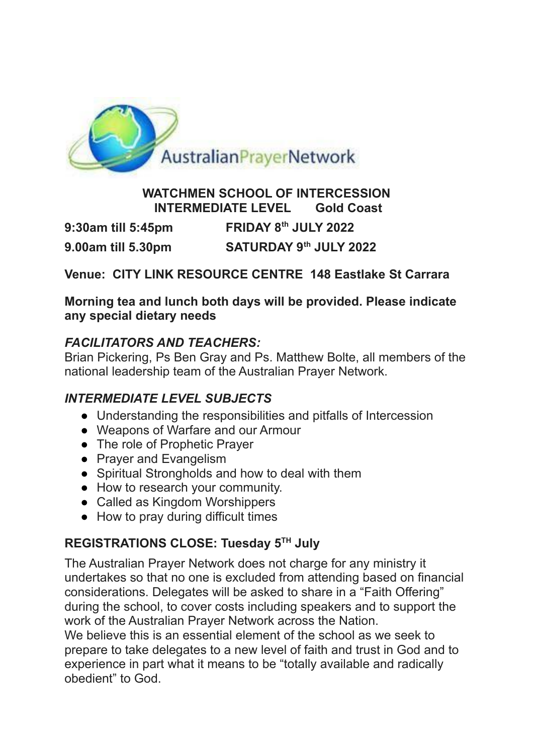

#### **WATCHMEN SCHOOL OF INTERCESSION INTERMEDIATE LEVEL Gold Coast**

**9:30am till 5:45pm th JULY 2022**

**9.00am till 5.30pm th JULY 2022**

## **Venue: CITY LINK RESOURCE CENTRE 148 Eastlake St Carrara**

#### **Morning tea and lunch both days will be provided. Please indicate any special dietary needs**

### *FACILITATORS AND TEACHERS:*

Brian Pickering, Ps Ben Gray and Ps. Matthew Bolte, all members of the national leadership team of the Australian Prayer Network.

# *INTERMEDIATE LEVEL SUBJECTS*

- Understanding the responsibilities and pitfalls of Intercession
- Weapons of Warfare and our Armour
- The role of Prophetic Prayer
- Praver and Evangelism
- Spiritual Strongholds and how to deal with them
- How to research your community.
- Called as Kingdom Worshippers
- How to pray during difficult times

# **REGISTRATIONS CLOSE: Tuesday 5 TH July**

The Australian Prayer Network does not charge for any ministry it undertakes so that no one is excluded from attending based on financial considerations. Delegates will be asked to share in a "Faith Offering" during the school, to cover costs including speakers and to support the work of the Australian Prayer Network across the Nation.

We believe this is an essential element of the school as we seek to prepare to take delegates to a new level of faith and trust in God and to experience in part what it means to be "totally available and radically obedient" to God.